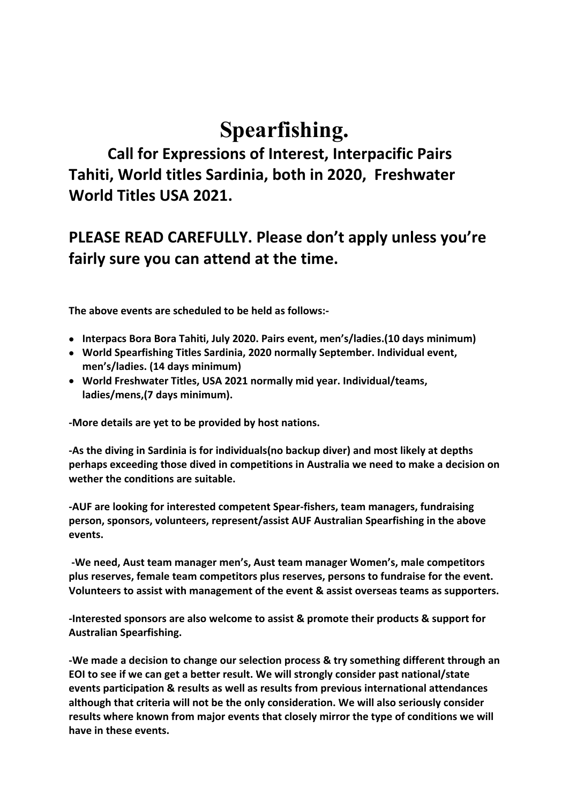# **Spearfishing.**

 **Call for Expressions of Interest, Interpacific Pairs Tahiti, World titles Sardinia, both in 2020, Freshwater World Titles USA 2021.**

# **PLEASE READ CAREFULLY. Please don't apply unless you're fairly sure you can attend at the time.**

 **The above events are scheduled to be held as follows:-**

- **Interpacs Bora Bora Tahiti, July 2020. Pairs event, men's/ladies.(10 days minimum)**
- **World Spearfishing Titles Sardinia, 2020 normally September. Individual event, men's/ladies. (14 days minimum)**
- **World Freshwater Titles, USA 2021 normally mid year. Individual/teams, ladies/mens,(7 days minimum).**

**-More details are yet to be provided by host nations.** 

**-As the diving in Sardinia is for individuals(no backup diver) and most likely at depths perhaps exceeding those dived in competitions in Australia we need to make a decision on wether the conditions are suitable.**

**-AUF are looking for interested competent Spear-fishers, team managers, fundraising person, sponsors, volunteers, represent/assist AUF Australian Spearfishing in the above events.**

 **-We need, Aust team manager men's, Aust team manager Women's, male competitors plus reserves, female team competitors plus reserves, persons to fundraise for the event. Volunteers to assist with management of the event & assist overseas teams as supporters.**

**-Interested sponsors are also welcome to assist & promote their products & support for Australian Spearfishing.**

**-We made a decision to change our selection process & try something different through an EOI to see if we can get a better result. We will strongly consider past national/state events participation & results as well as results from previous international attendances although that criteria will not be the only consideration. We will also seriously consider results where known from major events that closely mirror the type of conditions we will have in these events.**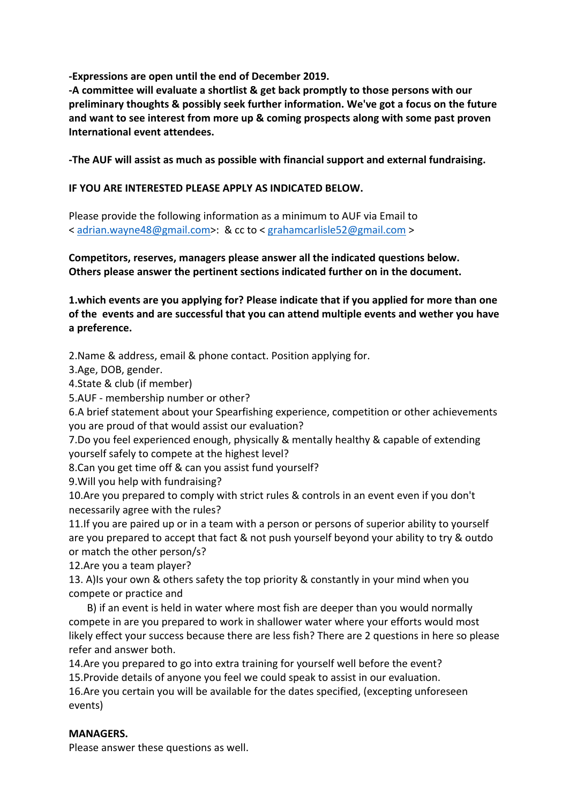**-Expressions are open until the end of December 2019.**

**-A committee will evaluate a shortlist & get back promptly to those persons with our preliminary thoughts & possibly seek further information. We've got a focus on the future and want to see interest from more up & coming prospects along with some past proven International event attendees.**

**-The AUF will assist as much as possible with financial support and external fundraising.**

### **IF YOU ARE INTERESTED PLEASE APPLY AS INDICATED BELOW.**

Please provide the following information as a minimum to AUF via Email to < adrian.wayne48@gmail.com>: & cc to < grahamcarlisle52@gmail.com >

**Competitors, reserves, managers please answer all the indicated questions below. Others please answer the pertinent sections indicated further on in the document.**

**1.which events are you applying for? Please indicate that if you applied for more than one of the events and are successful that you can attend multiple events and wether you have a preference.**

2.Name & address, email & phone contact. Position applying for.

3.Age, DOB, gender.

4.State & club (if member)

5.AUF - membership number or other?

6.A brief statement about your Spearfishing experience, competition or other achievements you are proud of that would assist our evaluation?

7.Do you feel experienced enough, physically & mentally healthy & capable of extending yourself safely to compete at the highest level?

8.Can you get time off & can you assist fund yourself?

9.Will you help with fundraising?

10.Are you prepared to comply with strict rules & controls in an event even if you don't necessarily agree with the rules?

11.If you are paired up or in a team with a person or persons of superior ability to yourself are you prepared to accept that fact & not push yourself beyond your ability to try & outdo or match the other person/s?

12.Are you a team player?

13. A)Is your own & others safety the top priority & constantly in your mind when you compete or practice and

 B) if an event is held in water where most fish are deeper than you would normally compete in are you prepared to work in shallower water where your efforts would most likely effect your success because there are less fish? There are 2 questions in here so please refer and answer both.

14.Are you prepared to go into extra training for yourself well before the event? 15.Provide details of anyone you feel we could speak to assist in our evaluation. 16.Are you certain you will be available for the dates specified, (excepting unforeseen events)

#### **MANAGERS.**

Please answer these questions as well.